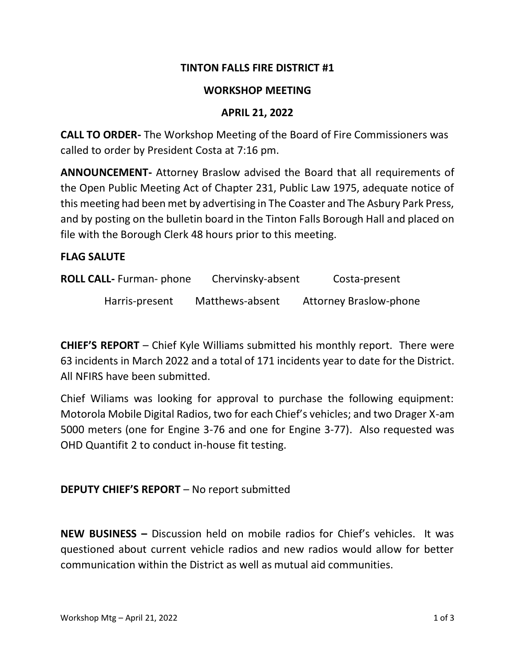# **TINTON FALLS FIRE DISTRICT #1**

## **WORKSHOP MEETING**

## **APRIL 21, 2022**

**CALL TO ORDER-** The Workshop Meeting of the Board of Fire Commissioners was called to order by President Costa at 7:16 pm.

**ANNOUNCEMENT-** Attorney Braslow advised the Board that all requirements of the Open Public Meeting Act of Chapter 231, Public Law 1975, adequate notice of this meeting had been met by advertising in The Coaster and The Asbury Park Press, and by posting on the bulletin board in the Tinton Falls Borough Hall and placed on file with the Borough Clerk 48 hours prior to this meeting.

#### **FLAG SALUTE**

| <b>ROLL CALL-</b> Furman- phone | Chervinsky-absent | Costa-present                 |
|---------------------------------|-------------------|-------------------------------|
| Harris-present                  | Matthews-absent   | <b>Attorney Braslow-phone</b> |

**CHIEF'S REPORT** – Chief Kyle Williams submitted his monthly report. There were 63 incidents in March 2022 and a total of 171 incidents year to date for the District. All NFIRS have been submitted.

Chief Wiliams was looking for approval to purchase the following equipment: Motorola Mobile Digital Radios, two for each Chief's vehicles; and two Drager X-am 5000 meters (one for Engine 3-76 and one for Engine 3-77). Also requested was OHD Quantifit 2 to conduct in-house fit testing.

# **DEPUTY CHIEF'S REPORT** – No report submitted

**NEW BUSINESS –** Discussion held on mobile radios for Chief's vehicles. It was questioned about current vehicle radios and new radios would allow for better communication within the District as well as mutual aid communities.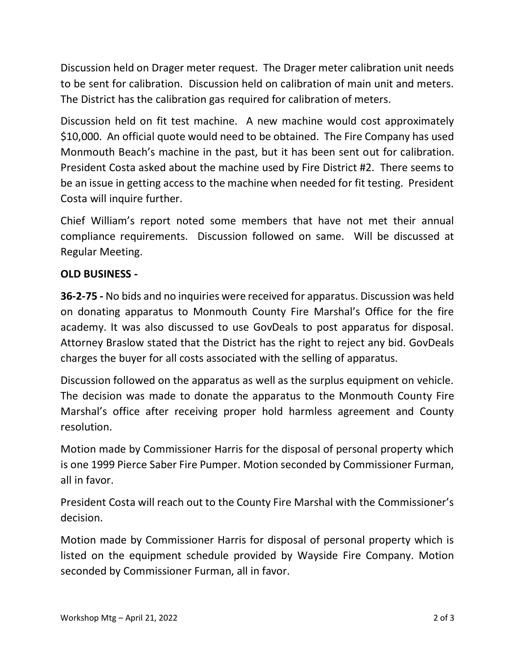Discussion held on Drager meter request. The Drager meter calibration unit needs to be sent for calibration. Discussion held on calibration of main unit and meters. The District has the calibration gas required for calibration of meters.

Discussion held on fit test machine. A new machine would cost approximately \$10,000. An official quote would need to be obtained. The Fire Company has used Monmouth Beach's machine in the past, but it has been sent out for calibration. President Costa asked about the machine used by Fire District #2. There seems to be an issue in getting access to the machine when needed for fit testing. President Costa will inquire further.

Chief William's report noted some members that have not met their annual compliance requirements. Discussion followed on same. Will be discussed at Regular Meeting.

# **OLD BUSINESS -**

**36-2-75 -** No bids and no inquiries were received for apparatus. Discussion was held on donating apparatus to Monmouth County Fire Marshal's Office for the fire academy. It was also discussed to use GovDeals to post apparatus for disposal. Attorney Braslow stated that the District has the right to reject any bid. GovDeals charges the buyer for all costs associated with the selling of apparatus.

Discussion followed on the apparatus as well as the surplus equipment on vehicle. The decision was made to donate the apparatus to the Monmouth County Fire Marshal's office after receiving proper hold harmless agreement and County resolution.

Motion made by Commissioner Harris for the disposal of personal property which is one 1999 Pierce Saber Fire Pumper. Motion seconded by Commissioner Furman, all in favor.

President Costa will reach out to the County Fire Marshal with the Commissioner's decision.

Motion made by Commissioner Harris for disposal of personal property which is listed on the equipment schedule provided by Wayside Fire Company. Motion seconded by Commissioner Furman, all in favor.